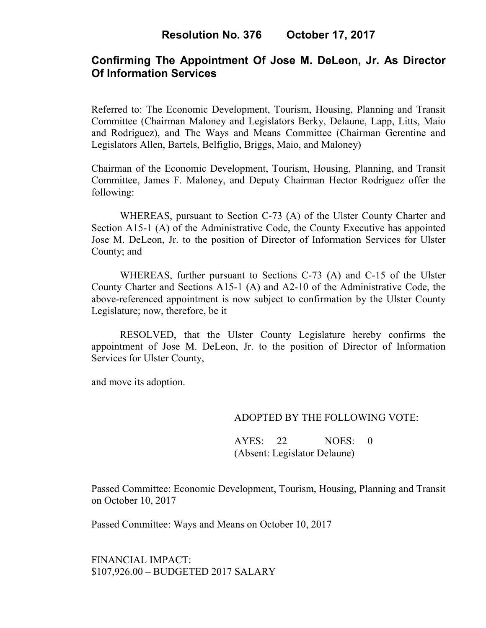# **Confirming The Appointment Of Jose M. DeLeon, Jr. As Director Of Information Services**

Referred to: The Economic Development, Tourism, Housing, Planning and Transit Committee (Chairman Maloney and Legislators Berky, Delaune, Lapp, Litts, Maio and Rodriguez), and The Ways and Means Committee (Chairman Gerentine and Legislators Allen, Bartels, Belfiglio, Briggs, Maio, and Maloney)

Chairman of the Economic Development, Tourism, Housing, Planning, and Transit Committee, James F. Maloney, and Deputy Chairman Hector Rodriguez offer the following:

WHEREAS, pursuant to Section C-73 (A) of the Ulster County Charter and Section A15-1 (A) of the Administrative Code, the County Executive has appointed Jose M. DeLeon, Jr. to the position of Director of Information Services for Ulster County; and

WHEREAS, further pursuant to Sections C-73 (A) and C-15 of the Ulster County Charter and Sections A15-1 (A) and A2-10 of the Administrative Code, the above-referenced appointment is now subject to confirmation by the Ulster County Legislature; now, therefore, be it

RESOLVED, that the Ulster County Legislature hereby confirms the appointment of Jose M. DeLeon, Jr. to the position of Director of Information Services for Ulster County,

and move its adoption.

### ADOPTED BY THE FOLLOWING VOTE:

AYES: 22 NOES: 0 (Absent: Legislator Delaune)

Passed Committee: Economic Development, Tourism, Housing, Planning and Transit on October 10, 2017

Passed Committee: Ways and Means on October 10, 2017

FINANCIAL IMPACT: \$107,926.00 – BUDGETED 2017 SALARY